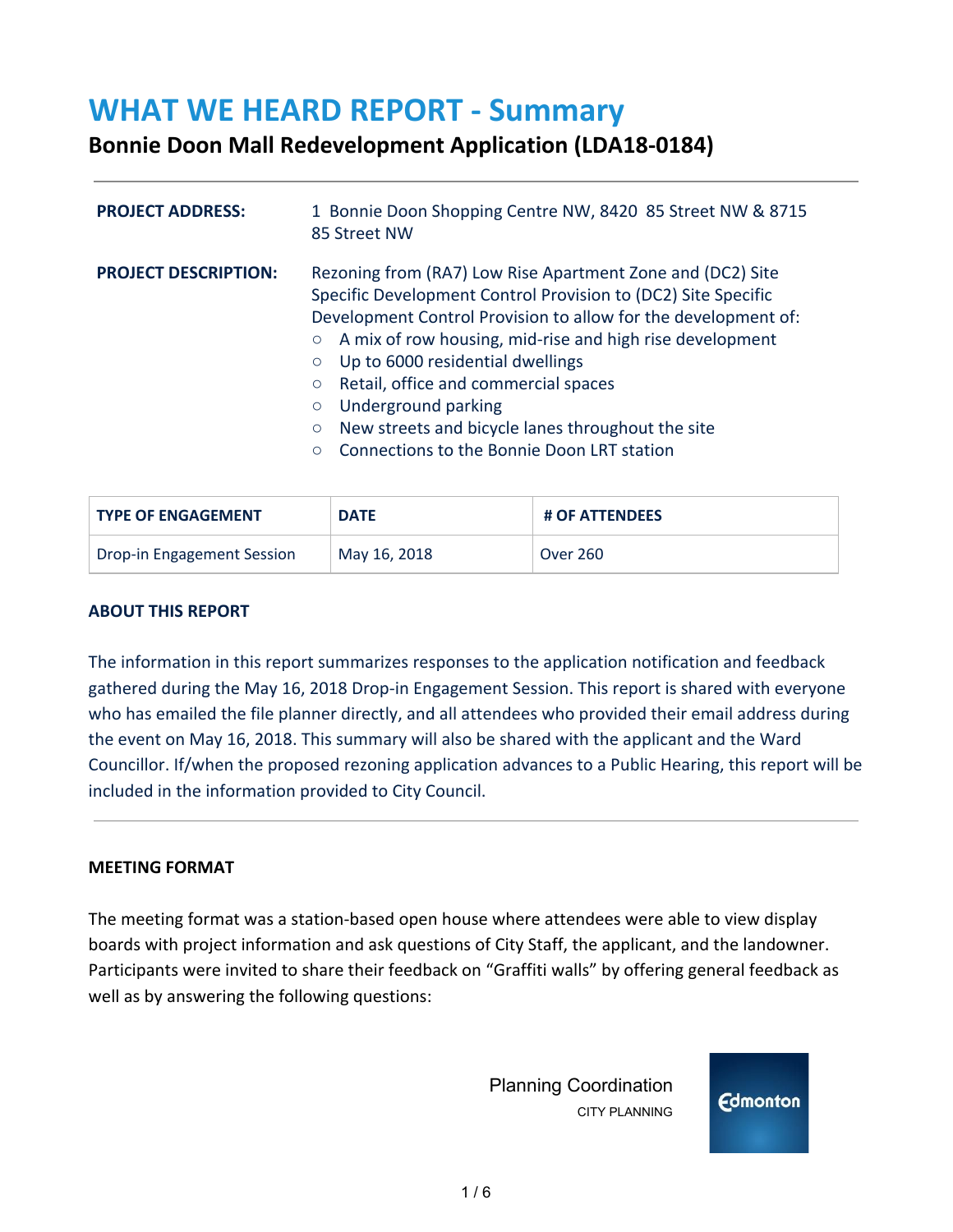#### **WHAT WE HEARD REPORT - Summary**

#### **Bonnie Doon Mall Redevelopment Application (LDA18-0184)**

| <b>PROJECT ADDRESS:</b>     | 1 Bonnie Doon Shopping Centre NW, 8420 85 Street NW & 8715<br>85 Street NW                                                                                                                                                                                                                                                                                                                                                                                                                                             |  |
|-----------------------------|------------------------------------------------------------------------------------------------------------------------------------------------------------------------------------------------------------------------------------------------------------------------------------------------------------------------------------------------------------------------------------------------------------------------------------------------------------------------------------------------------------------------|--|
| <b>PROJECT DESCRIPTION:</b> | Rezoning from (RA7) Low Rise Apartment Zone and (DC2) Site<br>Specific Development Control Provision to (DC2) Site Specific<br>Development Control Provision to allow for the development of:<br>A mix of row housing, mid-rise and high rise development<br>Up to 6000 residential dwellings<br>$\circ$<br>Retail, office and commercial spaces<br>$\circ$<br>Underground parking<br>$\circ$<br>New streets and bicycle lanes throughout the site<br>$\circ$<br>Connections to the Bonnie Doon LRT station<br>$\circ$ |  |

| <b>TYPE OF ENGAGEMENT</b>  | <b>DATE</b>  | <b># OF ATTENDEES</b> |
|----------------------------|--------------|-----------------------|
| Drop-in Engagement Session | May 16, 2018 | <b>Over 260</b>       |

#### **ABOUT THIS REPORT**

The information in this report summarizes responses to the application notification and feedback gathered during the May 16, 2018 Drop-in Engagement Session. This report is shared with everyone who has emailed the file planner directly, and all attendees who provided their email address during the event on May 16, 2018. This summary will also be shared with the applicant and the Ward Councillor. If/when the proposed rezoning application advances to a Public Hearing, this report will be included in the information provided to City Council.

#### **MEETING FORMAT**

The meeting format was a station-based open house where attendees were able to view display boards with project information and ask questions of City Staff, the applicant, and the landowner. Participants were invited to share their feedback on "Graffiti walls" by offering general feedback as well as by answering the following questions:

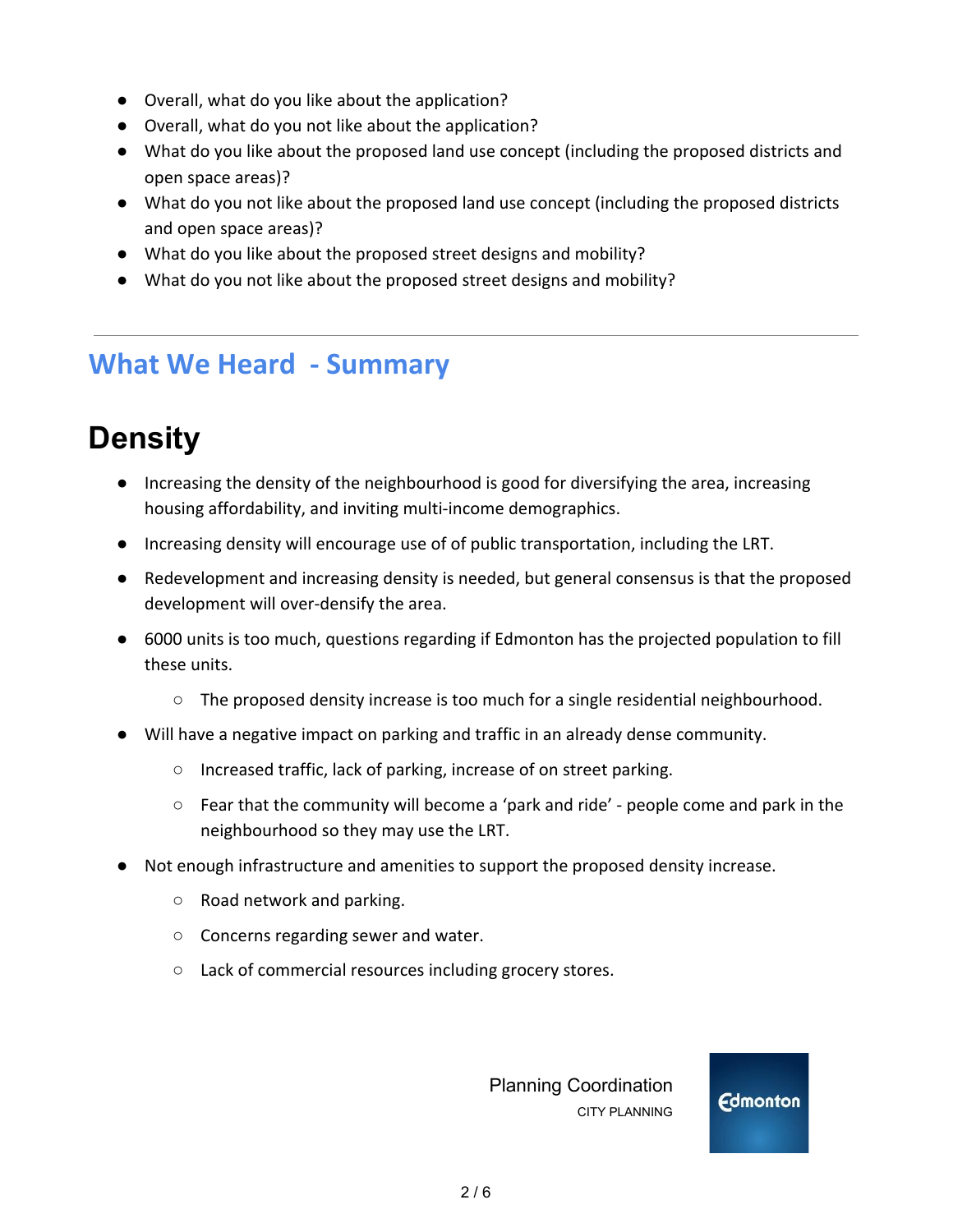- Overall, what do you like about the application?
- Overall, what do you not like about the application?
- What do you like about the proposed land use concept (including the proposed districts and open space areas)?
- What do you not like about the proposed land use concept (including the proposed districts and open space areas)?
- What do you like about the proposed street designs and mobility?
- What do you not like about the proposed street designs and mobility?

#### **What We Heard - Summary**

# **Density**

- Increasing the density of the neighbourhood is good for diversifying the area, increasing housing affordability, and inviting multi-income demographics.
- Increasing density will encourage use of of public transportation, including the LRT.
- Redevelopment and increasing density is needed, but general consensus is that the proposed development will over-densify the area.
- 6000 units is too much, questions regarding if Edmonton has the projected population to fill these units.
	- The proposed density increase is too much for a single residential neighbourhood.
- Will have a negative impact on parking and traffic in an already dense community.
	- Increased traffic, lack of parking, increase of on street parking.
	- $\circ$  Fear that the community will become a 'park and ride' people come and park in the neighbourhood so they may use the LRT.
- Not enough infrastructure and amenities to support the proposed density increase.
	- Road network and parking.
	- Concerns regarding sewer and water.
	- Lack of commercial resources including grocery stores.

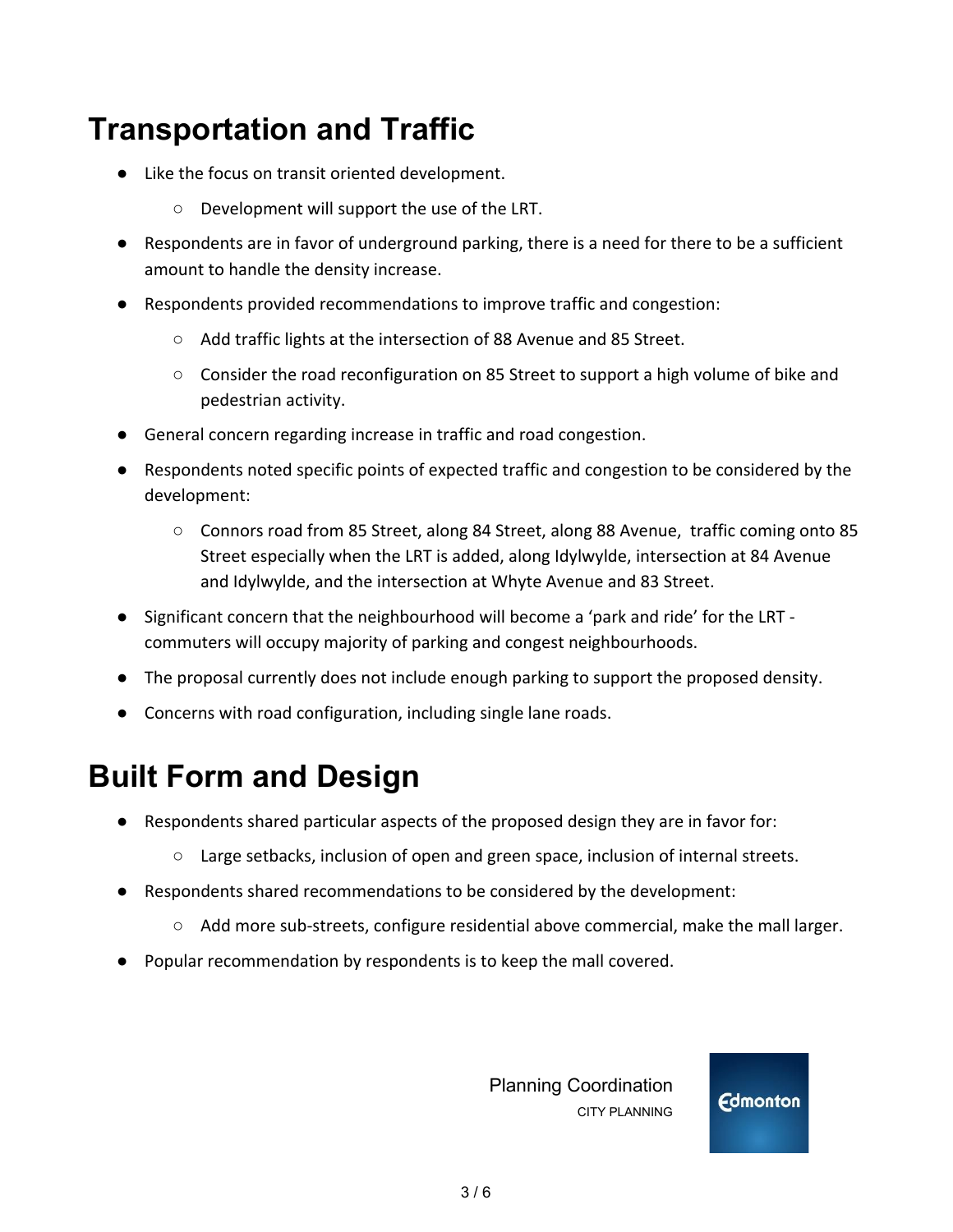## **Transportation and Traffic**

- Like the focus on transit oriented development.
	- Development will support the use of the LRT.
- Respondents are in favor of underground parking, there is a need for there to be a sufficient amount to handle the density increase.
- Respondents provided recommendations to improve traffic and congestion:
	- Add traffic lights at the intersection of 88 Avenue and 85 Street.
	- Consider the road reconfiguration on 85 Street to support a high volume of bike and pedestrian activity.
- General concern regarding increase in traffic and road congestion.
- Respondents noted specific points of expected traffic and congestion to be considered by the development:
	- Connors road from 85 Street, along 84 Street, along 88 Avenue, traffic coming onto 85 Street especially when the LRT is added, along Idylwylde, intersection at 84 Avenue and Idylwylde, and the intersection at Whyte Avenue and 83 Street.
- Significant concern that the neighbourhood will become a 'park and ride' for the LRT commuters will occupy majority of parking and congest neighbourhoods.
- The proposal currently does not include enough parking to support the proposed density.
- Concerns with road configuration, including single lane roads.

## **Built Form and Design**

- Respondents shared particular aspects of the proposed design they are in favor for:
	- Large setbacks, inclusion of open and green space, inclusion of internal streets.
- Respondents shared recommendations to be considered by the development:
	- Add more sub-streets, configure residential above commercial, make the mall larger.
- Popular recommendation by respondents is to keep the mall covered.

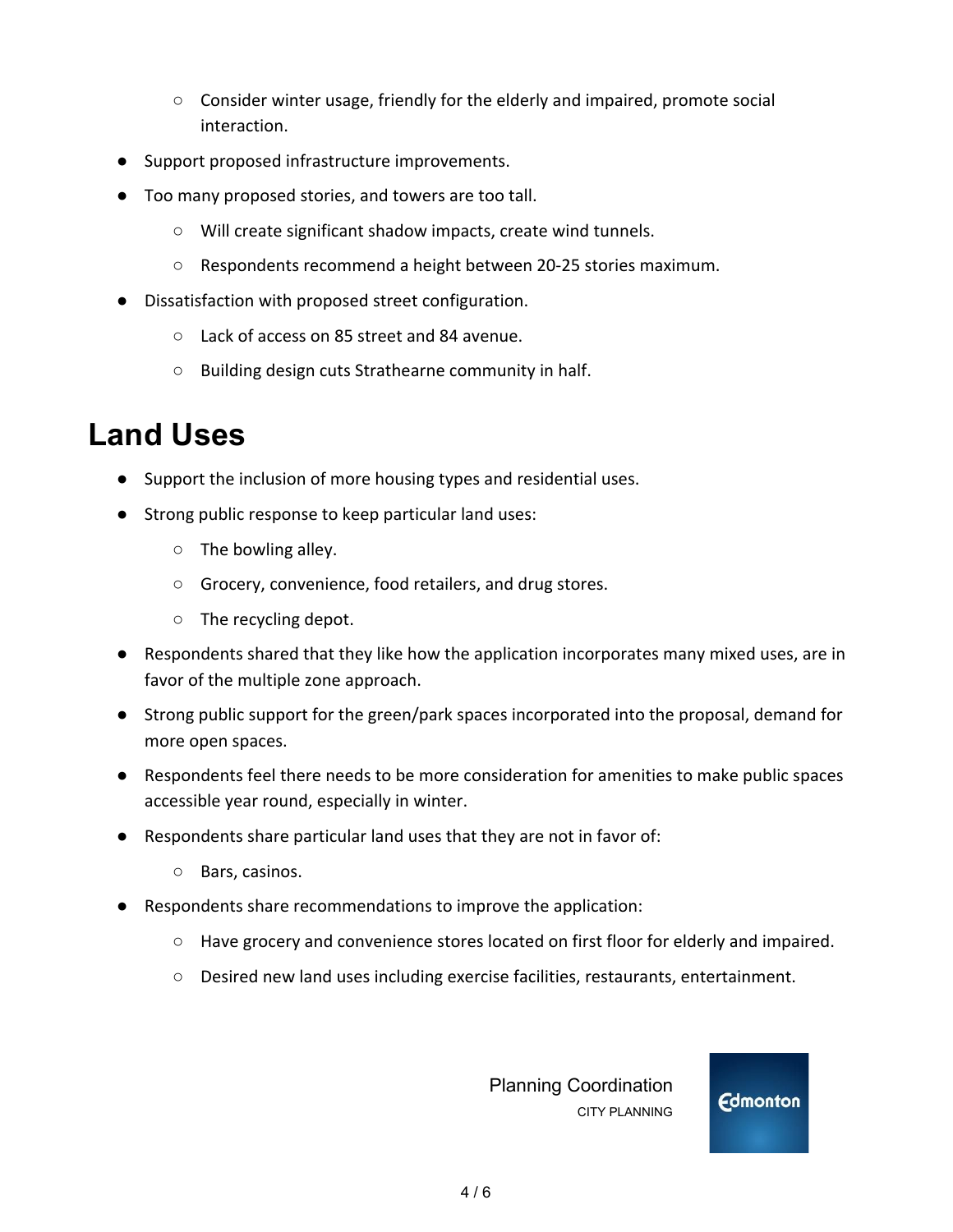- Consider winter usage, friendly for the elderly and impaired, promote social interaction.
- Support proposed infrastructure improvements.
- Too many proposed stories, and towers are too tall.
	- Will create significant shadow impacts, create wind tunnels.
	- Respondents recommend a height between 20-25 stories maximum.
- Dissatisfaction with proposed street configuration.
	- Lack of access on 85 street and 84 avenue.
	- Building design cuts Strathearne community in half.

#### **Land Uses**

- Support the inclusion of more housing types and residential uses.
- Strong public response to keep particular land uses:
	- $\circ$  The bowling alley.
	- Grocery, convenience, food retailers, and drug stores.
	- $\circ$  The recycling depot.
- Respondents shared that they like how the application incorporates many mixed uses, are in favor of the multiple zone approach.
- Strong public support for the green/park spaces incorporated into the proposal, demand for more open spaces.
- Respondents feel there needs to be more consideration for amenities to make public spaces accessible year round, especially in winter.
- Respondents share particular land uses that they are not in favor of:
	- Bars, casinos.
- Respondents share recommendations to improve the application:
	- Have grocery and convenience stores located on first floor for elderly and impaired.
	- Desired new land uses including exercise facilities, restaurants, entertainment.

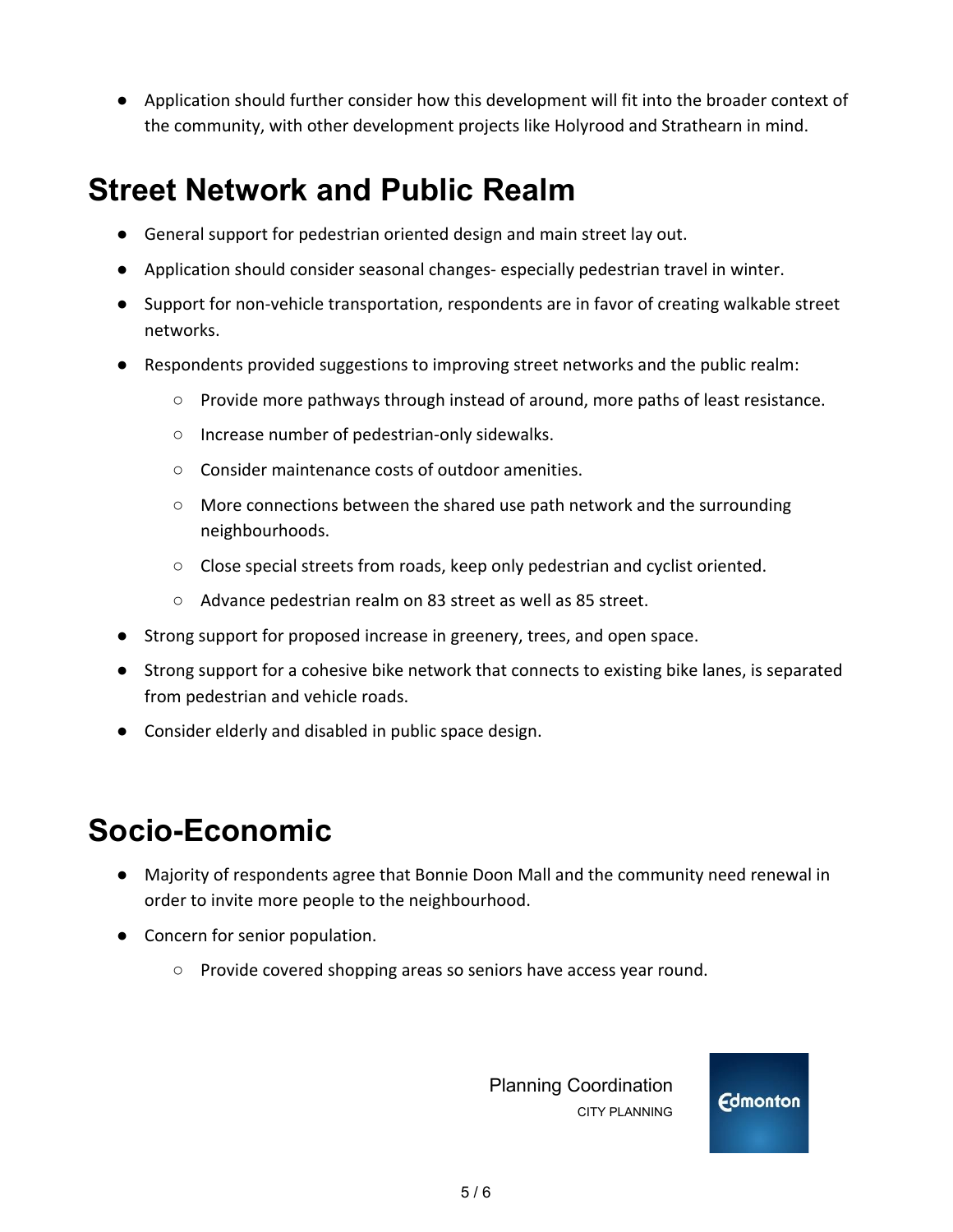● Application should further consider how this development will fit into the broader context of the community, with other development projects like Holyrood and Strathearn in mind.

#### **Street Network and Public Realm**

- General support for pedestrian oriented design and main street lay out.
- Application should consider seasonal changes- especially pedestrian travel in winter.
- Support for non-vehicle transportation, respondents are in favor of creating walkable street networks.
- Respondents provided suggestions to improving street networks and the public realm:
	- Provide more pathways through instead of around, more paths of least resistance.
	- Increase number of pedestrian-only sidewalks.
	- Consider maintenance costs of outdoor amenities.
	- More connections between the shared use path network and the surrounding neighbourhoods.
	- Close special streets from roads, keep only pedestrian and cyclist oriented.
	- Advance pedestrian realm on 83 street as well as 85 street.
- Strong support for proposed increase in greenery, trees, and open space.
- Strong support for a cohesive bike network that connects to existing bike lanes, is separated from pedestrian and vehicle roads.
- Consider elderly and disabled in public space design.

### **Socio-Economic**

- Majority of respondents agree that Bonnie Doon Mall and the community need renewal in order to invite more people to the neighbourhood.
- Concern for senior population.
	- Provide covered shopping areas so seniors have access year round.